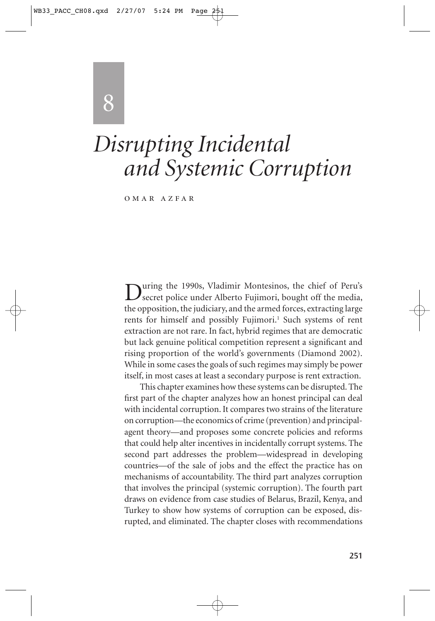# 8

# *Disrupting Incidental and Systemic Corruption*

OMAR AZFAR

During the 1990s, Vladimir Montesinos, the chief of Peru's secret police under Alberto Fujimori, bought off the media, the opposition, the judiciary, and the armed forces, extracting large rents for himself and possibly Fujimori.<sup>1</sup> Such systems of rent extraction are not rare. In fact, hybrid regimes that are democratic but lack genuine political competition represent a significant and rising proportion of the world's governments (Diamond 2002). While in some cases the goals of such regimes may simply be power itself, in most cases at least a secondary purpose is rent extraction.

This chapter examines how these systems can be disrupted. The first part of the chapter analyzes how an honest principal can deal with incidental corruption. It compares two strains of the literature on corruption—the economics of crime (prevention) and principalagent theory—and proposes some concrete policies and reforms that could help alter incentives in incidentally corrupt systems. The second part addresses the problem—widespread in developing countries—of the sale of jobs and the effect the practice has on mechanisms of accountability. The third part analyzes corruption that involves the principal (systemic corruption). The fourth part draws on evidence from case studies of Belarus, Brazil, Kenya, and Turkey to show how systems of corruption can be exposed, disrupted, and eliminated. The chapter closes with recommendations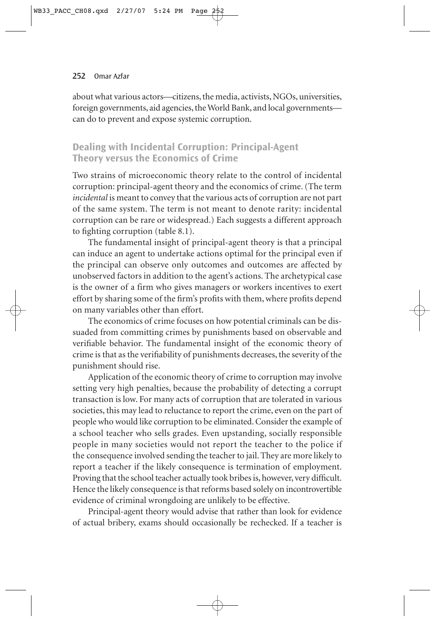about what various actors—citizens, the media, activists, NGOs, universities, foreign governments, aid agencies, the World Bank, and local governments can do to prevent and expose systemic corruption.

# **Dealing with Incidental Corruption: Principal-Agent Theory versus the Economics of Crime**

Two strains of microeconomic theory relate to the control of incidental corruption: principal-agent theory and the economics of crime. (The term *incidental* is meant to convey that the various acts of corruption are not part of the same system. The term is not meant to denote rarity: incidental corruption can be rare or widespread.) Each suggests a different approach to fighting corruption (table 8.1).

The fundamental insight of principal-agent theory is that a principal can induce an agent to undertake actions optimal for the principal even if the principal can observe only outcomes and outcomes are affected by unobserved factors in addition to the agent's actions. The archetypical case is the owner of a firm who gives managers or workers incentives to exert effort by sharing some of the firm's profits with them, where profits depend on many variables other than effort.

The economics of crime focuses on how potential criminals can be dissuaded from committing crimes by punishments based on observable and verifiable behavior. The fundamental insight of the economic theory of crime is that as the verifiability of punishments decreases, the severity of the punishment should rise.

Application of the economic theory of crime to corruption may involve setting very high penalties, because the probability of detecting a corrupt transaction is low. For many acts of corruption that are tolerated in various societies, this may lead to reluctance to report the crime, even on the part of people who would like corruption to be eliminated. Consider the example of a school teacher who sells grades. Even upstanding, socially responsible people in many societies would not report the teacher to the police if the consequence involved sending the teacher to jail. They are more likely to report a teacher if the likely consequence is termination of employment. Proving that the school teacher actually took bribes is, however, very difficult. Hence the likely consequence is that reforms based solely on incontrovertible evidence of criminal wrongdoing are unlikely to be effective.

Principal-agent theory would advise that rather than look for evidence of actual bribery, exams should occasionally be rechecked. If a teacher is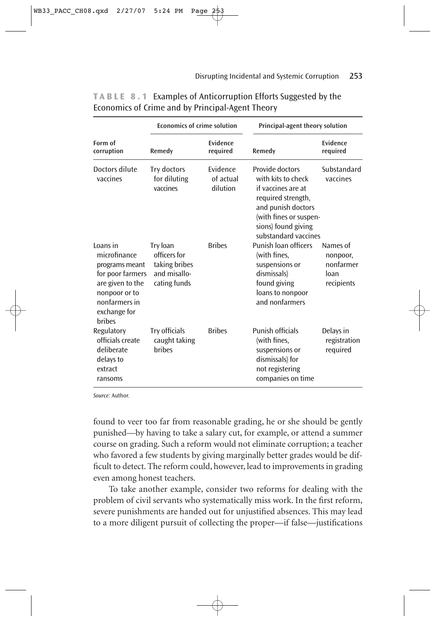|                                                                                                                                                       | <b>Economics of crime solution</b>                                        |                                   | Principal-agent theory solution                                                                                                                                                  |                                                         |
|-------------------------------------------------------------------------------------------------------------------------------------------------------|---------------------------------------------------------------------------|-----------------------------------|----------------------------------------------------------------------------------------------------------------------------------------------------------------------------------|---------------------------------------------------------|
| Form of<br>corruption                                                                                                                                 | Remedy                                                                    | Evidence<br>required              | Remedy                                                                                                                                                                           | Evidence<br>required                                    |
| Doctors dilute<br>vaccines                                                                                                                            | Try doctors<br>for diluting<br>vaccines                                   | Evidence<br>of actual<br>dilution | Provide doctors<br>with kits to check<br>if vaccines are at<br>required strength,<br>and punish doctors<br>(with fines or suspen-<br>sions) found giving<br>substandard vaccines | Substandard<br>vaccines                                 |
| Loans in<br>microfinance<br>programs meant<br>for poor farmers<br>are given to the<br>nonpoor or to<br>nonfarmers in<br>exchange for<br><b>bribes</b> | Try loan<br>officers for<br>taking bribes<br>and misallo-<br>cating funds | <b>Bribes</b>                     | <b>Punish loan officers</b><br>(with fines,<br>suspensions or<br>dismissals)<br>found giving<br>loans to nonpoor<br>and nonfarmers                                               | Names of<br>nonpoor,<br>nonfarmer<br>loan<br>recipients |
| Regulatory<br>officials create<br>deliberate<br>delays to<br>extract<br>ransoms                                                                       | Try officials<br>caught taking<br><b>bribes</b>                           | <b>Bribes</b>                     | <b>Punish officials</b><br>(with fines,<br>suspensions or<br>dismissals) for<br>not registering<br>companies on time                                                             | Delays in<br>registration<br>required                   |

**TABLE 8.1** Examples of Anticorruption Efforts Suggested by the Economics of Crime and by Principal-Agent Theory

*Source:* Author.

found to veer too far from reasonable grading, he or she should be gently punished—by having to take a salary cut, for example, or attend a summer course on grading. Such a reform would not eliminate corruption; a teacher who favored a few students by giving marginally better grades would be difficult to detect. The reform could, however, lead to improvements in grading even among honest teachers.

To take another example, consider two reforms for dealing with the problem of civil servants who systematically miss work. In the first reform, severe punishments are handed out for unjustified absences. This may lead to a more diligent pursuit of collecting the proper—if false—justifications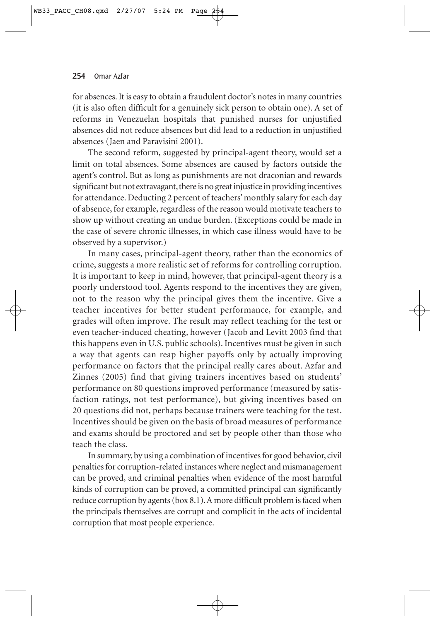for absences. It is easy to obtain a fraudulent doctor's notes in many countries (it is also often difficult for a genuinely sick person to obtain one). A set of reforms in Venezuelan hospitals that punished nurses for unjustified absences did not reduce absences but did lead to a reduction in unjustified absences (Jaen and Paravisini 2001).

The second reform, suggested by principal-agent theory, would set a limit on total absences. Some absences are caused by factors outside the agent's control. But as long as punishments are not draconian and rewards significant but not extravagant, there is no great injustice in providing incentives for attendance. Deducting 2 percent of teachers' monthly salary for each day of absence, for example, regardless of the reason would motivate teachers to show up without creating an undue burden. (Exceptions could be made in the case of severe chronic illnesses, in which case illness would have to be observed by a supervisor.)

In many cases, principal-agent theory, rather than the economics of crime, suggests a more realistic set of reforms for controlling corruption. It is important to keep in mind, however, that principal-agent theory is a poorly understood tool. Agents respond to the incentives they are given, not to the reason why the principal gives them the incentive. Give a teacher incentives for better student performance, for example, and grades will often improve. The result may reflect teaching for the test or even teacher-induced cheating, however (Jacob and Levitt 2003 find that this happens even in U.S. public schools). Incentives must be given in such a way that agents can reap higher payoffs only by actually improving performance on factors that the principal really cares about. Azfar and Zinnes (2005) find that giving trainers incentives based on students' performance on 80 questions improved performance (measured by satisfaction ratings, not test performance), but giving incentives based on 20 questions did not, perhaps because trainers were teaching for the test. Incentives should be given on the basis of broad measures of performance and exams should be proctored and set by people other than those who teach the class.

In summary, by using a combination of incentives for good behavior, civil penalties for corruption-related instances where neglect and mismanagement can be proved, and criminal penalties when evidence of the most harmful kinds of corruption can be proved, a committed principal can significantly reduce corruption by agents (box 8.1).A more difficult problem is faced when the principals themselves are corrupt and complicit in the acts of incidental corruption that most people experience.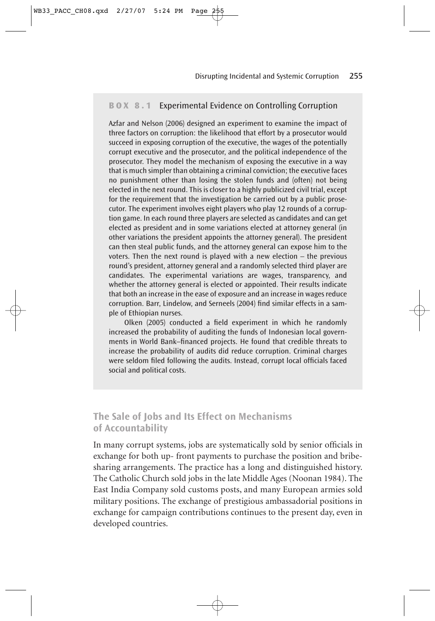#### **BOX 8.1** Experimental Evidence on Controlling Corruption

Azfar and Nelson (2006) designed an experiment to examine the impact of three factors on corruption: the likelihood that effort by a prosecutor would succeed in exposing corruption of the executive, the wages of the potentially corrupt executive and the prosecutor, and the political independence of the prosecutor. They model the mechanism of exposing the executive in a way that is much simpler than obtaining a criminal conviction; the executive faces no punishment other than losing the stolen funds and (often) not being elected in the next round. This is closer to a highly publicized civil trial, except for the requirement that the investigation be carried out by a public prosecutor. The experiment involves eight players who play 12 rounds of a corruption game. In each round three players are selected as candidates and can get elected as president and in some variations elected at attorney general (in other variations the president appoints the attorney general). The president can then steal public funds, and the attorney general can expose him to the voters. Then the next round is played with a new election – the previous round's president, attorney general and a randomly selected third player are candidates. The experimental variations are wages, transparency, and whether the attorney general is elected or appointed. Their results indicate that both an increase in the ease of exposure and an increase in wages reduce corruption. Barr, Lindelow, and Serneels (2004) find similar effects in a sample of Ethiopian nurses.

Olken (2005) conducted a field experiment in which he randomly increased the probability of auditing the funds of Indonesian local governments in World Bank–financed projects. He found that credible threats to increase the probability of audits did reduce corruption. Criminal charges were seldom filed following the audits. Instead, corrupt local officials faced social and political costs.

# **The Sale of Jobs and Its Effect on Mechanisms of Accountability**

In many corrupt systems, jobs are systematically sold by senior officials in exchange for both up- front payments to purchase the position and bribesharing arrangements. The practice has a long and distinguished history. The Catholic Church sold jobs in the late Middle Ages (Noonan 1984). The East India Company sold customs posts, and many European armies sold military positions. The exchange of prestigious ambassadorial positions in exchange for campaign contributions continues to the present day, even in developed countries.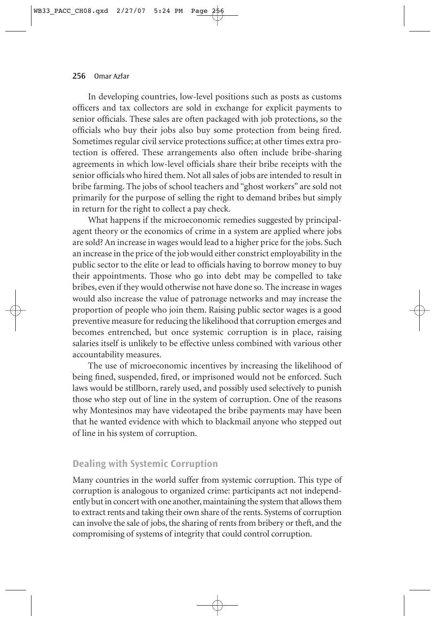In developing countries, low-level positions such as posts as customs officers and tax collectors are sold in exchange for explicit payments to senior officials. These sales are often packaged with job protections, so the officials who buy their jobs also buy some protection from being fired. Sometimes regular civil service protections suffice; at other times extra protection is offered. These arrangements also often include bribe-sharing agreements in which low-level officials share their bribe receipts with the senior officials who hired them. Not all sales of jobs are intended to result in bribe farming. The jobs of school teachers and "ghost workers" are sold not primarily for the purpose of selling the right to demand bribes but simply in return for the right to collect a pay check.

What happens if the microeconomic remedies suggested by principalagent theory or the economics of crime in a system are applied where jobs are sold? An increase in wages would lead to a higher price for the jobs. Such an increase in the price of the job would either constrict employability in the public sector to the elite or lead to officials having to borrow money to buy their appointments. Those who go into debt may be compelled to take bribes, even if they would otherwise not have done so. The increase in wages would also increase the value of patronage networks and may increase the proportion of people who join them. Raising public sector wages is a good preventive measure for reducing the likelihood that corruption emerges and becomes entrenched, but once systemic corruption is in place, raising salaries itself is unlikely to be effective unless combined with various other accountability measures.

The use of microeconomic incentives by increasing the likelihood of being fined, suspended, fired, or imprisoned would not be enforced. Such laws would be stillborn, rarely used, and possibly used selectively to punish those who step out of line in the system of corruption. One of the reasons why Montesinos may have videotaped the bribe payments may have been that he wanted evidence with which to blackmail anyone who stepped out of line in his system of corruption.

# **Dealing with Systemic Corruption**

Many countries in the world suffer from systemic corruption. This type of corruption is analogous to organized crime: participants act not independently but in concert with one another, maintaining the system that allows them to extract rents and taking their own share of the rents. Systems of corruption can involve the sale of jobs, the sharing of rents from bribery or theft, and the compromising of systems of integrity that could control corruption.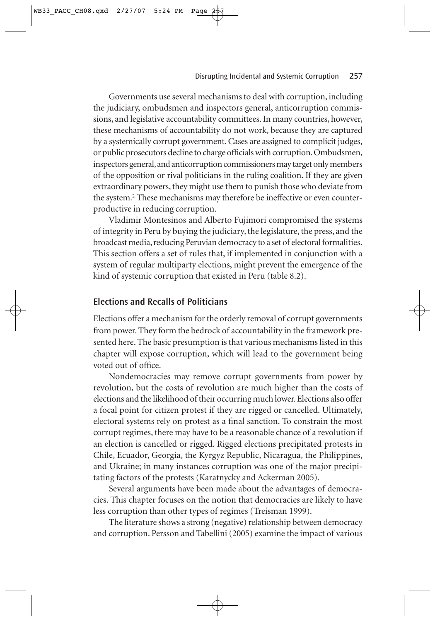Governments use several mechanisms to deal with corruption, including the judiciary, ombudsmen and inspectors general, anticorruption commissions, and legislative accountability committees. In many countries, however, these mechanisms of accountability do not work, because they are captured by a systemically corrupt government. Cases are assigned to complicit judges, or public prosecutors decline to charge officials with corruption.Ombudsmen, inspectors general,and anticorruption commissioners may target only members of the opposition or rival politicians in the ruling coalition. If they are given extraordinary powers, they might use them to punish those who deviate from the system.<sup>2</sup> These mechanisms may therefore be ineffective or even counterproductive in reducing corruption.

Vladimir Montesinos and Alberto Fujimori compromised the systems of integrity in Peru by buying the judiciary, the legislature, the press, and the broadcast media, reducing Peruvian democracy to a set of electoral formalities. This section offers a set of rules that, if implemented in conjunction with a system of regular multiparty elections, might prevent the emergence of the kind of systemic corruption that existed in Peru (table 8.2).

# **Elections and Recalls of Politicians**

Elections offer a mechanism for the orderly removal of corrupt governments from power. They form the bedrock of accountability in the framework presented here. The basic presumption is that various mechanisms listed in this chapter will expose corruption, which will lead to the government being voted out of office.

Nondemocracies may remove corrupt governments from power by revolution, but the costs of revolution are much higher than the costs of elections and the likelihood of their occurring much lower. Elections also offer a focal point for citizen protest if they are rigged or cancelled. Ultimately, electoral systems rely on protest as a final sanction. To constrain the most corrupt regimes, there may have to be a reasonable chance of a revolution if an election is cancelled or rigged. Rigged elections precipitated protests in Chile, Ecuador, Georgia, the Kyrgyz Republic, Nicaragua, the Philippines, and Ukraine; in many instances corruption was one of the major precipitating factors of the protests (Karatnycky and Ackerman 2005).

Several arguments have been made about the advantages of democracies. This chapter focuses on the notion that democracies are likely to have less corruption than other types of regimes (Treisman 1999).

The literature shows a strong (negative) relationship between democracy and corruption. Persson and Tabellini (2005) examine the impact of various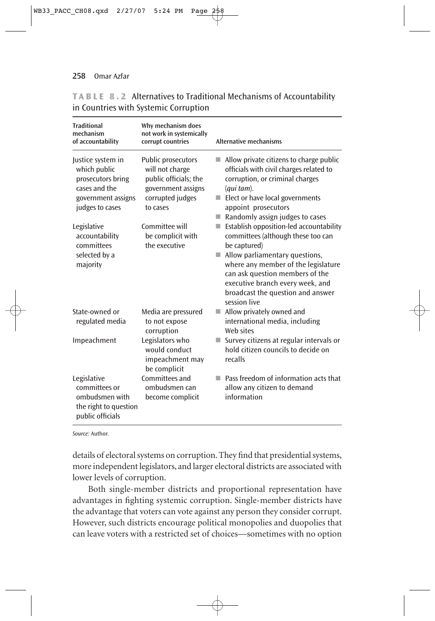|  | <b>TABLE 8.2 Alternatives to Traditional Mechanisms of Accountability</b> |  |  |
|--|---------------------------------------------------------------------------|--|--|
|  | in Countries with Systemic Corruption                                     |  |  |

| <b>Traditional</b><br>mechanism<br>of accountability                                                                            | Why mechanism does<br>not work in systemically<br>corrupt countries                                                                           | <b>Alternative mechanisms</b>                                                                                                                                                                                                                                                    |
|---------------------------------------------------------------------------------------------------------------------------------|-----------------------------------------------------------------------------------------------------------------------------------------------|----------------------------------------------------------------------------------------------------------------------------------------------------------------------------------------------------------------------------------------------------------------------------------|
| Justice system in<br>which public<br>prosecutors bring<br>cases and the<br>government assigns<br>judges to cases<br>Legislative | <b>Public prosecutors</b><br>will not charge<br>public officials; the<br>government assigns<br>corrupted judges<br>to cases<br>Committee will | Allow private citizens to charge public<br>officials with civil charges related to<br>corruption, or criminal charges<br>(qui tam).<br>Elect or have local governments<br>appoint prosecutors<br>Randomly assign judges to cases<br>Establish opposition-led accountability<br>п |
| accountability<br>committees<br>selected by a<br>majority                                                                       | be complicit with<br>the executive                                                                                                            | committees (although these too can<br>be captured)<br>Allow parliamentary questions,<br>п<br>where any member of the legislature<br>can ask question members of the<br>executive branch every week, and<br>broadcast the question and answer<br>session live                     |
| State-owned or<br>regulated media                                                                                               | Media are pressured<br>to not expose<br>corruption                                                                                            | Allow privately owned and<br>international media, including<br>Web sites                                                                                                                                                                                                         |
| Impeachment                                                                                                                     | Legislators who<br>would conduct<br>impeachment may<br>be complicit                                                                           | Survey citizens at regular intervals or<br>hold citizen councils to decide on<br>recalls                                                                                                                                                                                         |
| Legislative<br>committees or<br>ombudsmen with<br>the right to question<br>public officials                                     | Committees and<br>ombudsmen can<br>become complicit                                                                                           | Pass freedom of information acts that<br>allow any citizen to demand<br>information                                                                                                                                                                                              |

*Source:* Author.

details of electoral systems on corruption. They find that presidential systems, more independent legislators, and larger electoral districts are associated with lower levels of corruption.

Both single-member districts and proportional representation have advantages in fighting systemic corruption. Single-member districts have the advantage that voters can vote against any person they consider corrupt. However, such districts encourage political monopolies and duopolies that can leave voters with a restricted set of choices—sometimes with no option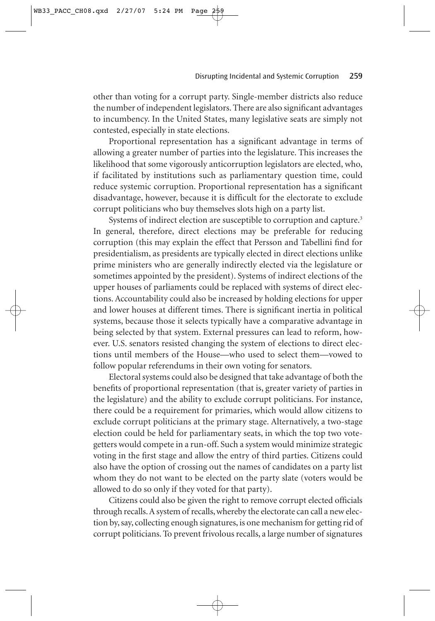other than voting for a corrupt party. Single-member districts also reduce the number of independent legislators. There are also significant advantages to incumbency. In the United States, many legislative seats are simply not contested, especially in state elections.

Proportional representation has a significant advantage in terms of allowing a greater number of parties into the legislature. This increases the likelihood that some vigorously anticorruption legislators are elected, who, if facilitated by institutions such as parliamentary question time, could reduce systemic corruption. Proportional representation has a significant disadvantage, however, because it is difficult for the electorate to exclude corrupt politicians who buy themselves slots high on a party list.

Systems of indirect election are susceptible to corruption and capture.<sup>3</sup> In general, therefore, direct elections may be preferable for reducing corruption (this may explain the effect that Persson and Tabellini find for presidentialism, as presidents are typically elected in direct elections unlike prime ministers who are generally indirectly elected via the legislature or sometimes appointed by the president). Systems of indirect elections of the upper houses of parliaments could be replaced with systems of direct elections. Accountability could also be increased by holding elections for upper and lower houses at different times. There is significant inertia in political systems, because those it selects typically have a comparative advantage in being selected by that system. External pressures can lead to reform, however. U.S. senators resisted changing the system of elections to direct elections until members of the House—who used to select them—vowed to follow popular referendums in their own voting for senators.

Electoral systems could also be designed that take advantage of both the benefits of proportional representation (that is, greater variety of parties in the legislature) and the ability to exclude corrupt politicians. For instance, there could be a requirement for primaries, which would allow citizens to exclude corrupt politicians at the primary stage. Alternatively, a two-stage election could be held for parliamentary seats, in which the top two votegetters would compete in a run-off. Such a system would minimize strategic voting in the first stage and allow the entry of third parties. Citizens could also have the option of crossing out the names of candidates on a party list whom they do not want to be elected on the party slate (voters would be allowed to do so only if they voted for that party).

Citizens could also be given the right to remove corrupt elected officials through recalls.A system of recalls, whereby the electorate can call a new election by, say, collecting enough signatures, is one mechanism for getting rid of corrupt politicians. To prevent frivolous recalls, a large number of signatures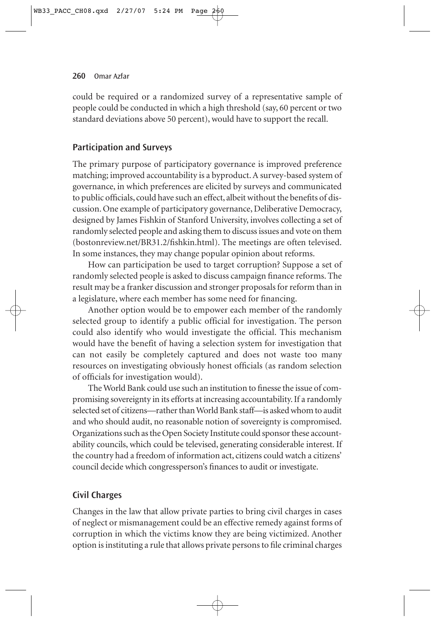could be required or a randomized survey of a representative sample of people could be conducted in which a high threshold (say, 60 percent or two standard deviations above 50 percent), would have to support the recall.

#### **Participation and Surveys**

The primary purpose of participatory governance is improved preference matching; improved accountability is a byproduct. A survey-based system of governance, in which preferences are elicited by surveys and communicated to public officials, could have such an effect, albeit without the benefits of discussion. One example of participatory governance, Deliberative Democracy, designed by James Fishkin of Stanford University, involves collecting a set of randomly selected people and asking them to discuss issues and vote on them (bostonreview.net/BR31.2/fishkin.html). The meetings are often televised. In some instances, they may change popular opinion about reforms.

How can participation be used to target corruption? Suppose a set of randomly selected people is asked to discuss campaign finance reforms. The result may be a franker discussion and stronger proposals for reform than in a legislature, where each member has some need for financing.

Another option would be to empower each member of the randomly selected group to identify a public official for investigation. The person could also identify who would investigate the official. This mechanism would have the benefit of having a selection system for investigation that can not easily be completely captured and does not waste too many resources on investigating obviously honest officials (as random selection of officials for investigation would).

The World Bank could use such an institution to finesse the issue of compromising sovereignty in its efforts at increasing accountability. If a randomly selected set of citizens—rather than World Bank staff—is asked whom to audit and who should audit, no reasonable notion of sovereignty is compromised. Organizations such as the Open Society Institute could sponsor these accountability councils, which could be televised, generating considerable interest. If the country had a freedom of information act, citizens could watch a citizens' council decide which congressperson's finances to audit or investigate.

#### **Civil Charges**

Changes in the law that allow private parties to bring civil charges in cases of neglect or mismanagement could be an effective remedy against forms of corruption in which the victims know they are being victimized. Another option is instituting a rule that allows private persons to file criminal charges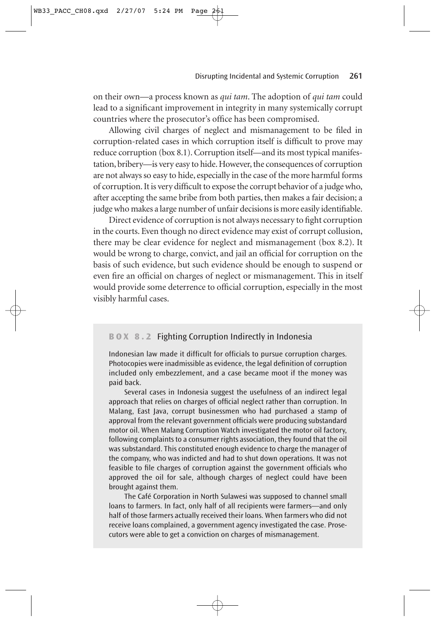WB33\_PACC\_CH08.qxd 2/27/07 5:24 PM Page

on their own—a process known as *qui tam*. The adoption of *qui tam* could lead to a significant improvement in integrity in many systemically corrupt countries where the prosecutor's office has been compromised.

Allowing civil charges of neglect and mismanagement to be filed in corruption-related cases in which corruption itself is difficult to prove may reduce corruption (box 8.1). Corruption itself—and its most typical manifestation, bribery—is very easy to hide. However, the consequences of corruption are not always so easy to hide, especially in the case of the more harmful forms of corruption. It is very difficult to expose the corrupt behavior of a judge who, after accepting the same bribe from both parties, then makes a fair decision; a judge who makes a large number of unfair decisions is more easily identifiable.

Direct evidence of corruption is not always necessary to fight corruption in the courts. Even though no direct evidence may exist of corrupt collusion, there may be clear evidence for neglect and mismanagement (box 8.2). It would be wrong to charge, convict, and jail an official for corruption on the basis of such evidence, but such evidence should be enough to suspend or even fire an official on charges of neglect or mismanagement. This in itself would provide some deterrence to official corruption, especially in the most visibly harmful cases.

# **BOX 8.2** Fighting Corruption Indirectly in Indonesia

Indonesian law made it difficult for officials to pursue corruption charges. Photocopies were inadmissible as evidence, the legal definition of corruption included only embezzlement, and a case became moot if the money was paid back.

Several cases in Indonesia suggest the usefulness of an indirect legal approach that relies on charges of official neglect rather than corruption. In Malang, East Java, corrupt businessmen who had purchased a stamp of approval from the relevant government officials were producing substandard motor oil. When Malang Corruption Watch investigated the motor oil factory, following complaints to a consumer rights association, they found that the oil was substandard. This constituted enough evidence to charge the manager of the company, who was indicted and had to shut down operations. It was not feasible to file charges of corruption against the government officials who approved the oil for sale, although charges of neglect could have been brought against them.

The Café Corporation in North Sulawesi was supposed to channel small loans to farmers. In fact, only half of all recipients were farmers—and only half of those farmers actually received their loans. When farmers who did not receive loans complained, a government agency investigated the case. Prosecutors were able to get a conviction on charges of mismanagement.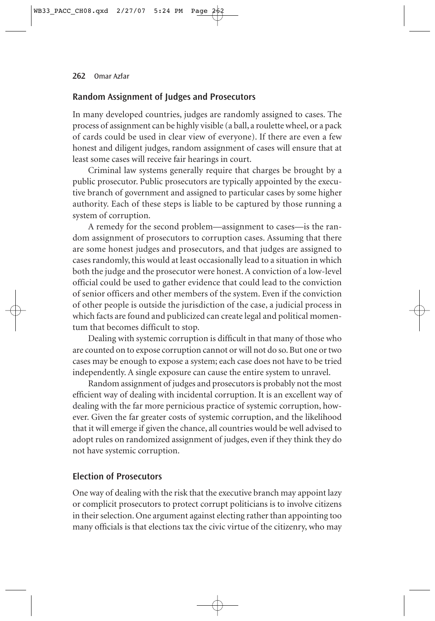# **Random Assignment of Judges and Prosecutors**

In many developed countries, judges are randomly assigned to cases. The process of assignment can be highly visible (a ball, a roulette wheel, or a pack of cards could be used in clear view of everyone). If there are even a few honest and diligent judges, random assignment of cases will ensure that at least some cases will receive fair hearings in court.

Criminal law systems generally require that charges be brought by a public prosecutor. Public prosecutors are typically appointed by the executive branch of government and assigned to particular cases by some higher authority. Each of these steps is liable to be captured by those running a system of corruption.

A remedy for the second problem—assignment to cases—is the random assignment of prosecutors to corruption cases. Assuming that there are some honest judges and prosecutors, and that judges are assigned to cases randomly, this would at least occasionally lead to a situation in which both the judge and the prosecutor were honest. A conviction of a low-level official could be used to gather evidence that could lead to the conviction of senior officers and other members of the system. Even if the conviction of other people is outside the jurisdiction of the case, a judicial process in which facts are found and publicized can create legal and political momentum that becomes difficult to stop.

Dealing with systemic corruption is difficult in that many of those who are counted on to expose corruption cannot or will not do so. But one or two cases may be enough to expose a system; each case does not have to be tried independently. A single exposure can cause the entire system to unravel.

Random assignment of judges and prosecutors is probably not the most efficient way of dealing with incidental corruption. It is an excellent way of dealing with the far more pernicious practice of systemic corruption, however. Given the far greater costs of systemic corruption, and the likelihood that it will emerge if given the chance, all countries would be well advised to adopt rules on randomized assignment of judges, even if they think they do not have systemic corruption.

#### **Election of Prosecutors**

One way of dealing with the risk that the executive branch may appoint lazy or complicit prosecutors to protect corrupt politicians is to involve citizens in their selection. One argument against electing rather than appointing too many officials is that elections tax the civic virtue of the citizenry, who may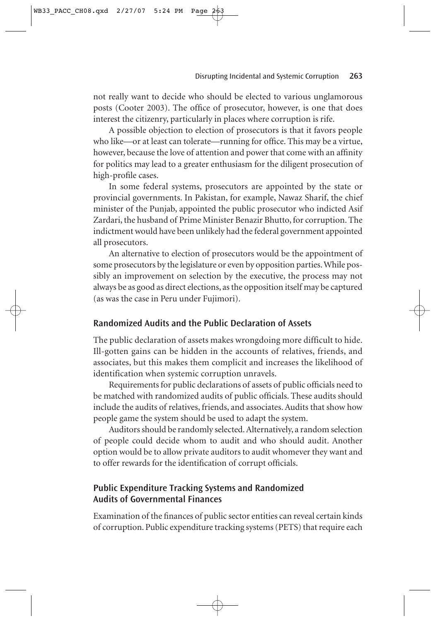not really want to decide who should be elected to various unglamorous posts (Cooter 2003). The office of prosecutor, however, is one that does interest the citizenry, particularly in places where corruption is rife.

A possible objection to election of prosecutors is that it favors people who like—or at least can tolerate—running for office. This may be a virtue, however, because the love of attention and power that come with an affinity for politics may lead to a greater enthusiasm for the diligent prosecution of high-profile cases.

In some federal systems, prosecutors are appointed by the state or provincial governments. In Pakistan, for example, Nawaz Sharif, the chief minister of the Punjab, appointed the public prosecutor who indicted Asif Zardari, the husband of Prime Minister Benazir Bhutto, for corruption. The indictment would have been unlikely had the federal government appointed all prosecutors.

An alternative to election of prosecutors would be the appointment of some prosecutors by the legislature or even by opposition parties. While possibly an improvement on selection by the executive, the process may not always be as good as direct elections, as the opposition itself may be captured (as was the case in Peru under Fujimori).

### **Randomized Audits and the Public Declaration of Assets**

The public declaration of assets makes wrongdoing more difficult to hide. Ill-gotten gains can be hidden in the accounts of relatives, friends, and associates, but this makes them complicit and increases the likelihood of identification when systemic corruption unravels.

Requirements for public declarations of assets of public officials need to be matched with randomized audits of public officials. These audits should include the audits of relatives, friends, and associates. Audits that show how people game the system should be used to adapt the system.

Auditors should be randomly selected. Alternatively, a random selection of people could decide whom to audit and who should audit. Another option would be to allow private auditors to audit whomever they want and to offer rewards for the identification of corrupt officials.

# **Public Expenditure Tracking Systems and Randomized Audits of Governmental Finances**

Examination of the finances of public sector entities can reveal certain kinds of corruption. Public expenditure tracking systems (PETS) that require each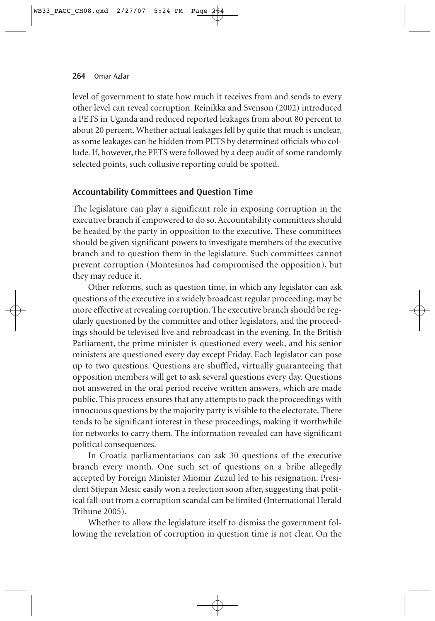level of government to state how much it receives from and sends to every other level can reveal corruption. Reinikka and Svenson (2002) introduced a PETS in Uganda and reduced reported leakages from about 80 percent to about 20 percent. Whether actual leakages fell by quite that much is unclear, as some leakages can be hidden from PETS by determined officials who collude. If, however, the PETS were followed by a deep audit of some randomly selected points, such collusive reporting could be spotted.

## **Accountability Committees and Question Time**

The legislature can play a significant role in exposing corruption in the executive branch if empowered to do so. Accountability committees should be headed by the party in opposition to the executive. These committees should be given significant powers to investigate members of the executive branch and to question them in the legislature. Such committees cannot prevent corruption (Montesinos had compromised the opposition), but they may reduce it.

Other reforms, such as question time, in which any legislator can ask questions of the executive in a widely broadcast regular proceeding, may be more effective at revealing corruption. The executive branch should be regularly questioned by the committee and other legislators, and the proceedings should be televised live and rebroadcast in the evening. In the British Parliament, the prime minister is questioned every week, and his senior ministers are questioned every day except Friday. Each legislator can pose up to two questions. Questions are shuffled, virtually guaranteeing that opposition members will get to ask several questions every day. Questions not answered in the oral period receive written answers, which are made public. This process ensures that any attempts to pack the proceedings with innocuous questions by the majority party is visible to the electorate. There tends to be significant interest in these proceedings, making it worthwhile for networks to carry them. The information revealed can have significant political consequences.

In Croatia parliamentarians can ask 30 questions of the executive branch every month. One such set of questions on a bribe allegedly accepted by Foreign Minister Miomir Zuzul led to his resignation. President Stjepan Mesic easily won a reelection soon after, suggesting that political fall-out from a corruption scandal can be limited (International Herald Tribune 2005).

Whether to allow the legislature itself to dismiss the government following the revelation of corruption in question time is not clear. On the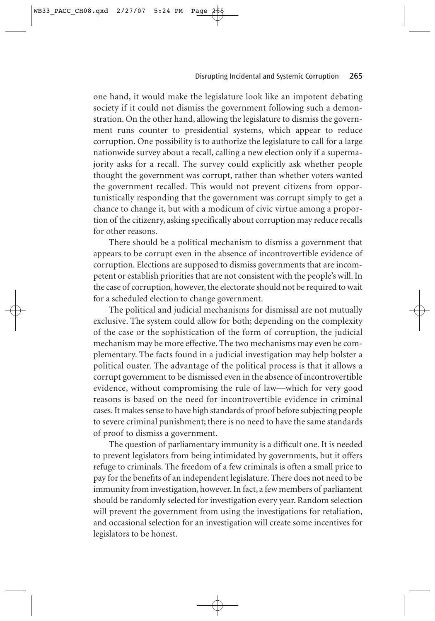one hand, it would make the legislature look like an impotent debating society if it could not dismiss the government following such a demonstration. On the other hand, allowing the legislature to dismiss the government runs counter to presidential systems, which appear to reduce corruption. One possibility is to authorize the legislature to call for a large nationwide survey about a recall, calling a new election only if a supermajority asks for a recall. The survey could explicitly ask whether people thought the government was corrupt, rather than whether voters wanted the government recalled. This would not prevent citizens from opportunistically responding that the government was corrupt simply to get a chance to change it, but with a modicum of civic virtue among a proportion of the citizenry, asking specifically about corruption may reduce recalls for other reasons.

WB33\_PACC\_CH08.qxd 2/27/07 5:24 PM Page

There should be a political mechanism to dismiss a government that appears to be corrupt even in the absence of incontrovertible evidence of corruption. Elections are supposed to dismiss governments that are incompetent or establish priorities that are not consistent with the people's will. In the case of corruption, however, the electorate should not be required to wait for a scheduled election to change government.

The political and judicial mechanisms for dismissal are not mutually exclusive. The system could allow for both; depending on the complexity of the case or the sophistication of the form of corruption, the judicial mechanism may be more effective. The two mechanisms may even be complementary. The facts found in a judicial investigation may help bolster a political ouster. The advantage of the political process is that it allows a corrupt government to be dismissed even in the absence of incontrovertible evidence, without compromising the rule of law—which for very good reasons is based on the need for incontrovertible evidence in criminal cases. It makes sense to have high standards of proof before subjecting people to severe criminal punishment; there is no need to have the same standards of proof to dismiss a government.

The question of parliamentary immunity is a difficult one. It is needed to prevent legislators from being intimidated by governments, but it offers refuge to criminals. The freedom of a few criminals is often a small price to pay for the benefits of an independent legislature. There does not need to be immunity from investigation, however. In fact, a few members of parliament should be randomly selected for investigation every year. Random selection will prevent the government from using the investigations for retaliation, and occasional selection for an investigation will create some incentives for legislators to be honest.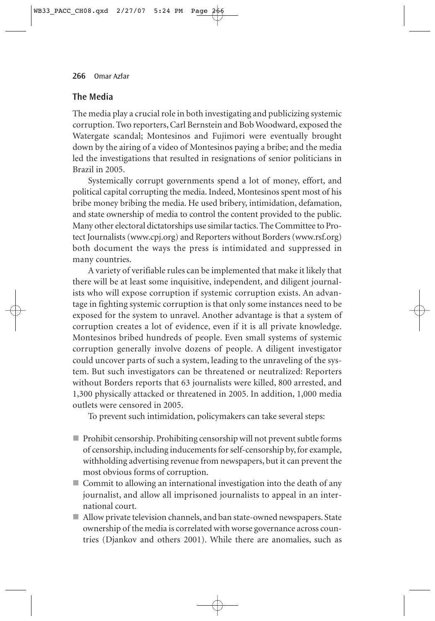# **The Media**

The media play a crucial role in both investigating and publicizing systemic corruption. Two reporters, Carl Bernstein and Bob Woodward, exposed the Watergate scandal; Montesinos and Fujimori were eventually brought down by the airing of a video of Montesinos paying a bribe; and the media led the investigations that resulted in resignations of senior politicians in Brazil in 2005.

Systemically corrupt governments spend a lot of money, effort, and political capital corrupting the media. Indeed, Montesinos spent most of his bribe money bribing the media. He used bribery, intimidation, defamation, and state ownership of media to control the content provided to the public. Many other electoral dictatorships use similar tactics. The Committee to Protect Journalists (www.cpj.org) and Reporters without Borders (www.rsf.org) both document the ways the press is intimidated and suppressed in many countries.

A variety of verifiable rules can be implemented that make it likely that there will be at least some inquisitive, independent, and diligent journalists who will expose corruption if systemic corruption exists. An advantage in fighting systemic corruption is that only some instances need to be exposed for the system to unravel. Another advantage is that a system of corruption creates a lot of evidence, even if it is all private knowledge. Montesinos bribed hundreds of people. Even small systems of systemic corruption generally involve dozens of people. A diligent investigator could uncover parts of such a system, leading to the unraveling of the system. But such investigators can be threatened or neutralized: Reporters without Borders reports that 63 journalists were killed, 800 arrested, and 1,300 physically attacked or threatened in 2005. In addition, 1,000 media outlets were censored in 2005.

To prevent such intimidation, policymakers can take several steps:

- $\blacksquare$  Prohibit censorship. Prohibiting censorship will not prevent subtle forms of censorship, including inducements for self-censorship by, for example, withholding advertising revenue from newspapers, but it can prevent the most obvious forms of corruption.
- Commit to allowing an international investigation into the death of any journalist, and allow all imprisoned journalists to appeal in an international court.
- Allow private television channels, and ban state-owned newspapers. State ownership of the media is correlated with worse governance across countries (Djankov and others 2001). While there are anomalies, such as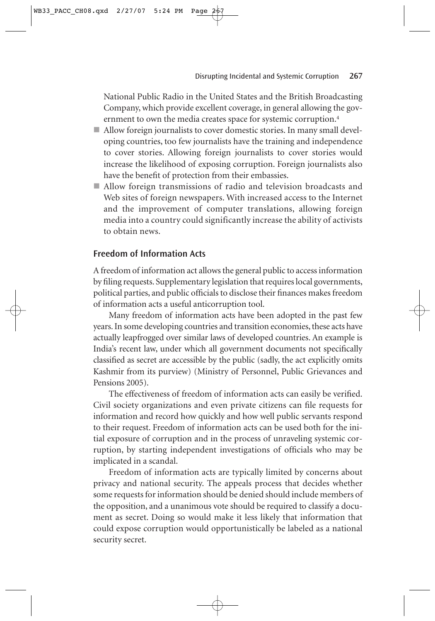National Public Radio in the United States and the British Broadcasting Company, which provide excellent coverage, in general allowing the government to own the media creates space for systemic corruption.<sup>4</sup>

- Allow foreign journalists to cover domestic stories. In many small developing countries, too few journalists have the training and independence to cover stories. Allowing foreign journalists to cover stories would increase the likelihood of exposing corruption. Foreign journalists also have the benefit of protection from their embassies.
- I Allow foreign transmissions of radio and television broadcasts and Web sites of foreign newspapers. With increased access to the Internet and the improvement of computer translations, allowing foreign media into a country could significantly increase the ability of activists to obtain news.

# **Freedom of Information Acts**

A freedom of information act allows the general public to access information by filing requests. Supplementary legislation that requires local governments, political parties, and public officials to disclose their finances makes freedom of information acts a useful anticorruption tool.

Many freedom of information acts have been adopted in the past few years. In some developing countries and transition economies, these acts have actually leapfrogged over similar laws of developed countries. An example is India's recent law, under which all government documents not specifically classified as secret are accessible by the public (sadly, the act explicitly omits Kashmir from its purview) (Ministry of Personnel, Public Grievances and Pensions 2005).

The effectiveness of freedom of information acts can easily be verified. Civil society organizations and even private citizens can file requests for information and record how quickly and how well public servants respond to their request. Freedom of information acts can be used both for the initial exposure of corruption and in the process of unraveling systemic corruption, by starting independent investigations of officials who may be implicated in a scandal.

Freedom of information acts are typically limited by concerns about privacy and national security. The appeals process that decides whether some requests for information should be denied should include members of the opposition, and a unanimous vote should be required to classify a document as secret. Doing so would make it less likely that information that could expose corruption would opportunistically be labeled as a national security secret.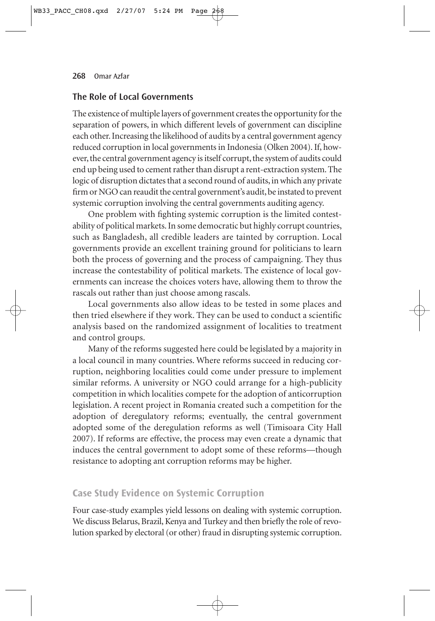# **The Role of Local Governments**

The existence of multiple layers of government creates the opportunity for the separation of powers, in which different levels of government can discipline each other. Increasing the likelihood of audits by a central government agency reduced corruption in local governments in Indonesia (Olken 2004). If, however, the central government agency is itself corrupt, the system of audits could end up being used to cement rather than disrupt a rent-extraction system. The logic of disruption dictates that a second round of audits, in which any private firm or NGO can reaudit the central government's audit, be instated to prevent systemic corruption involving the central governments auditing agency.

One problem with fighting systemic corruption is the limited contestability of political markets. In some democratic but highly corrupt countries, such as Bangladesh, all credible leaders are tainted by corruption. Local governments provide an excellent training ground for politicians to learn both the process of governing and the process of campaigning. They thus increase the contestability of political markets. The existence of local governments can increase the choices voters have, allowing them to throw the rascals out rather than just choose among rascals.

Local governments also allow ideas to be tested in some places and then tried elsewhere if they work. They can be used to conduct a scientific analysis based on the randomized assignment of localities to treatment and control groups.

Many of the reforms suggested here could be legislated by a majority in a local council in many countries. Where reforms succeed in reducing corruption, neighboring localities could come under pressure to implement similar reforms. A university or NGO could arrange for a high-publicity competition in which localities compete for the adoption of anticorruption legislation. A recent project in Romania created such a competition for the adoption of deregulatory reforms; eventually, the central government adopted some of the deregulation reforms as well (Timisoara City Hall 2007). If reforms are effective, the process may even create a dynamic that induces the central government to adopt some of these reforms—though resistance to adopting ant corruption reforms may be higher.

# **Case Study Evidence on Systemic Corruption**

Four case-study examples yield lessons on dealing with systemic corruption. We discuss Belarus, Brazil, Kenya and Turkey and then briefly the role of revolution sparked by electoral (or other) fraud in disrupting systemic corruption.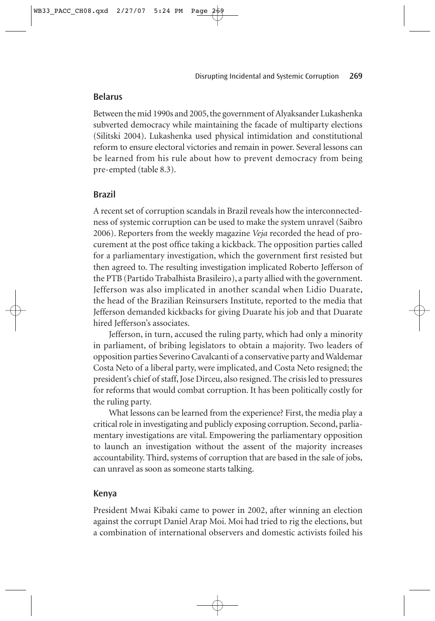# **Belarus**

Between the mid 1990s and 2005, the government of Alyaksander Lukashenka subverted democracy while maintaining the facade of multiparty elections (Silitski 2004). Lukashenka used physical intimidation and constitutional reform to ensure electoral victories and remain in power. Several lessons can be learned from his rule about how to prevent democracy from being pre-empted (table 8.3).

#### **Brazil**

A recent set of corruption scandals in Brazil reveals how the interconnectedness of systemic corruption can be used to make the system unravel (Saibro 2006). Reporters from the weekly magazine *Veja* recorded the head of procurement at the post office taking a kickback. The opposition parties called for a parliamentary investigation, which the government first resisted but then agreed to. The resulting investigation implicated Roberto Jefferson of the PTB (Partido Trabalhista Brasileiro), a party allied with the government. Jefferson was also implicated in another scandal when Lidio Duarate, the head of the Brazilian Reinsursers Institute, reported to the media that Jefferson demanded kickbacks for giving Duarate his job and that Duarate hired Jefferson's associates.

Jefferson, in turn, accused the ruling party, which had only a minority in parliament, of bribing legislators to obtain a majority. Two leaders of opposition parties Severino Cavalcanti of a conservative party and Waldemar Costa Neto of a liberal party, were implicated, and Costa Neto resigned; the president's chief of staff, Jose Dirceu, also resigned. The crisis led to pressures for reforms that would combat corruption. It has been politically costly for the ruling party.

What lessons can be learned from the experience? First, the media play a critical role in investigating and publicly exposing corruption. Second, parliamentary investigations are vital. Empowering the parliamentary opposition to launch an investigation without the assent of the majority increases accountability. Third, systems of corruption that are based in the sale of jobs, can unravel as soon as someone starts talking.

#### **Kenya**

President Mwai Kibaki came to power in 2002, after winning an election against the corrupt Daniel Arap Moi. Moi had tried to rig the elections, but a combination of international observers and domestic activists foiled his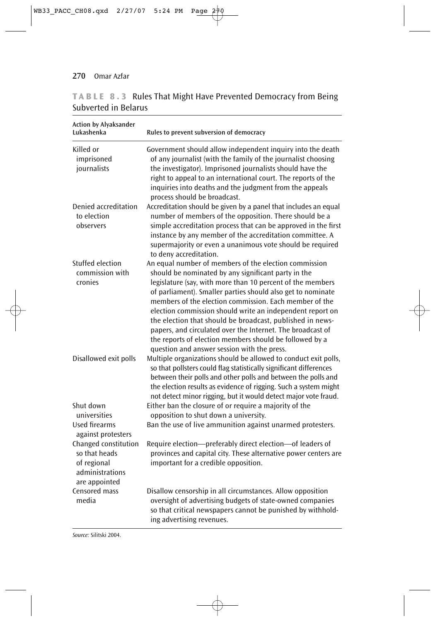# **TABLE 8.3** Rules That Might Have Prevented Democracy from Being Subverted in Belarus

| Action by Alyaksander<br>Lukashenka                                                      | Rules to prevent subversion of democracy                                                                                                                                                                                                                                                                                                                                                                                                                                                                                                                                                              |  |
|------------------------------------------------------------------------------------------|-------------------------------------------------------------------------------------------------------------------------------------------------------------------------------------------------------------------------------------------------------------------------------------------------------------------------------------------------------------------------------------------------------------------------------------------------------------------------------------------------------------------------------------------------------------------------------------------------------|--|
| Killed or<br>imprisoned<br>journalists                                                   | Government should allow independent inquiry into the death<br>of any journalist (with the family of the journalist choosing<br>the investigator). Imprisoned journalists should have the<br>right to appeal to an international court. The reports of the<br>inquiries into deaths and the judgment from the appeals<br>process should be broadcast.                                                                                                                                                                                                                                                  |  |
| Denied accreditation<br>to election<br>observers                                         | Accreditation should be given by a panel that includes an equal<br>number of members of the opposition. There should be a<br>simple accreditation process that can be approved in the first<br>instance by any member of the accreditation committee. A<br>supermajority or even a unanimous vote should be required<br>to deny accreditation.                                                                                                                                                                                                                                                        |  |
| Stuffed election<br>commission with<br>cronies                                           | An equal number of members of the election commission<br>should be nominated by any significant party in the<br>legislature (say, with more than 10 percent of the members<br>of parliament). Smaller parties should also get to nominate<br>members of the election commission. Each member of the<br>election commission should write an independent report on<br>the election that should be broadcast, published in news-<br>papers, and circulated over the Internet. The broadcast of<br>the reports of election members should be followed by a<br>question and answer session with the press. |  |
| Disallowed exit polls                                                                    | Multiple organizations should be allowed to conduct exit polls,<br>so that pollsters could flag statistically significant differences<br>between their polls and other polls and between the polls and<br>the election results as evidence of rigging. Such a system might<br>not detect minor rigging, but it would detect major vote fraud.                                                                                                                                                                                                                                                         |  |
| Shut down                                                                                | Either ban the closure of or require a majority of the                                                                                                                                                                                                                                                                                                                                                                                                                                                                                                                                                |  |
| universities<br>Used firearms<br>against protesters                                      | opposition to shut down a university.<br>Ban the use of live ammunition against unarmed protesters.                                                                                                                                                                                                                                                                                                                                                                                                                                                                                                   |  |
| Changed constitution<br>so that heads<br>of regional<br>administrations<br>are appointed | Require election-preferably direct election-of leaders of<br>provinces and capital city. These alternative power centers are<br>important for a credible opposition.                                                                                                                                                                                                                                                                                                                                                                                                                                  |  |
| Censored mass<br>media                                                                   | Disallow censorship in all circumstances. Allow opposition<br>oversight of advertising budgets of state-owned companies<br>so that critical newspapers cannot be punished by withhold-<br>ing advertising revenues.                                                                                                                                                                                                                                                                                                                                                                                   |  |

*Source:* Silitski 2004.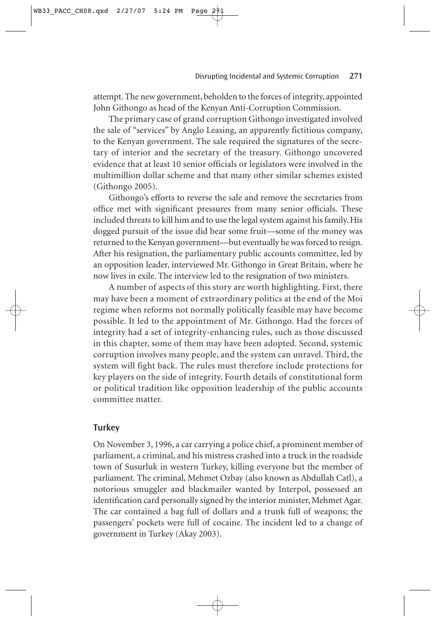attempt. The new government, beholden to the forces of integrity, appointed John Githongo as head of the Kenyan Anti-Corruption Commission.

The primary case of grand corruption Githongo investigated involved the sale of "services" by Anglo Leasing, an apparently fictitious company, to the Kenyan government. The sale required the signatures of the secretary of interior and the secretary of the treasury. Githongo uncovered evidence that at least 10 senior officials or legislators were involved in the multimillion dollar scheme and that many other similar schemes existed (Githongo 2005).

Githongo's efforts to reverse the sale and remove the secretaries from office met with significant pressures from many senior officials. These included threats to kill him and to use the legal system against his family. His dogged pursuit of the issue did bear some fruit—some of the money was returned to the Kenyan government—but eventually he was forced to resign. After his resignation, the parliamentary public accounts committee, led by an opposition leader, interviewed Mr. Githongo in Great Britain, where he now lives in exile. The interview led to the resignation of two ministers.

A number of aspects of this story are worth highlighting. First, there may have been a moment of extraordinary politics at the end of the Moi regime when reforms not normally politically feasible may have become possible. It led to the appointment of Mr. Githongo. Had the forces of integrity had a set of integrity-enhancing rules, such as those discussed in this chapter, some of them may have been adopted. Second, systemic corruption involves many people, and the system can unravel. Third, the system will fight back. The rules must therefore include protections for key players on the side of integrity. Fourth details of constitutional form or political tradition like opposition leadership of the public accounts committee matter.

#### **Turkey**

On November 3, 1996, a car carrying a police chief, a prominent member of parliament, a criminal, and his mistress crashed into a truck in the roadside town of Susurluk in western Turkey, killing everyone but the member of parliament. The criminal, Mehmet Ozbay (also known as Abdullah Catl), a notorious smuggler and blackmailer wanted by Interpol, possessed an identification card personally signed by the interior minister, Mehmet Agar. The car contained a bag full of dollars and a trunk full of weapons; the passengers' pockets were full of cocaine. The incident led to a change of government in Turkey (Akay 2003).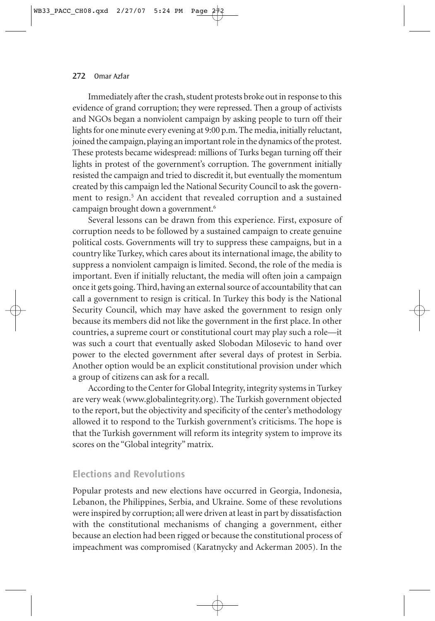Immediately after the crash, student protests broke out in response to this evidence of grand corruption; they were repressed. Then a group of activists and NGOs began a nonviolent campaign by asking people to turn off their lights for one minute every evening at 9:00 p.m. The media, initially reluctant, joined the campaign, playing an important role in the dynamics of the protest. These protests became widespread: millions of Turks began turning off their lights in protest of the government's corruption. The government initially resisted the campaign and tried to discredit it, but eventually the momentum created by this campaign led the National Security Council to ask the government to resign.<sup>5</sup> An accident that revealed corruption and a sustained campaign brought down a government.<sup>6</sup>

Several lessons can be drawn from this experience. First, exposure of corruption needs to be followed by a sustained campaign to create genuine political costs. Governments will try to suppress these campaigns, but in a country like Turkey, which cares about its international image, the ability to suppress a nonviolent campaign is limited. Second, the role of the media is important. Even if initially reluctant, the media will often join a campaign once it gets going. Third, having an external source of accountability that can call a government to resign is critical. In Turkey this body is the National Security Council, which may have asked the government to resign only because its members did not like the government in the first place. In other countries, a supreme court or constitutional court may play such a role—it was such a court that eventually asked Slobodan Milosevic to hand over power to the elected government after several days of protest in Serbia. Another option would be an explicit constitutional provision under which a group of citizens can ask for a recall.

According to the Center for Global Integrity, integrity systems in Turkey are very weak (www.globalintegrity.org). The Turkish government objected to the report, but the objectivity and specificity of the center's methodology allowed it to respond to the Turkish government's criticisms. The hope is that the Turkish government will reform its integrity system to improve its scores on the "Global integrity" matrix.

### **Elections and Revolutions**

Popular protests and new elections have occurred in Georgia, Indonesia, Lebanon, the Philippines, Serbia, and Ukraine. Some of these revolutions were inspired by corruption; all were driven at least in part by dissatisfaction with the constitutional mechanisms of changing a government, either because an election had been rigged or because the constitutional process of impeachment was compromised (Karatnycky and Ackerman 2005). In the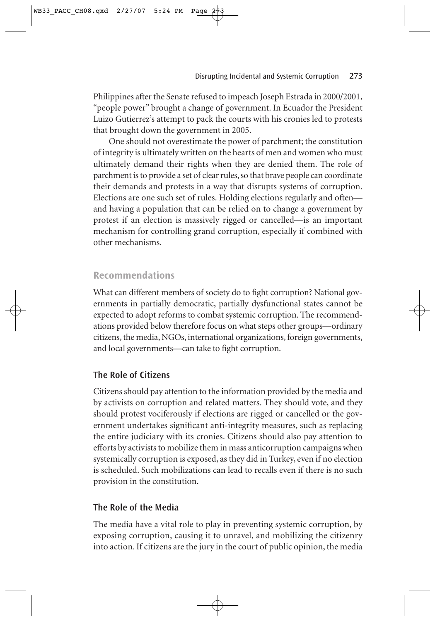Philippines after the Senate refused to impeach Joseph Estrada in 2000/2001, "people power" brought a change of government. In Ecuador the President Luizo Gutierrez's attempt to pack the courts with his cronies led to protests that brought down the government in 2005.

One should not overestimate the power of parchment; the constitution of integrity is ultimately written on the hearts of men and women who must ultimately demand their rights when they are denied them. The role of parchment is to provide a set of clear rules, so that brave people can coordinate their demands and protests in a way that disrupts systems of corruption. Elections are one such set of rules. Holding elections regularly and often and having a population that can be relied on to change a government by protest if an election is massively rigged or cancelled—is an important mechanism for controlling grand corruption, especially if combined with other mechanisms.

# **Recommendations**

What can different members of society do to fight corruption? National governments in partially democratic, partially dysfunctional states cannot be expected to adopt reforms to combat systemic corruption. The recommendations provided below therefore focus on what steps other groups—ordinary citizens, the media, NGOs, international organizations, foreign governments, and local governments—can take to fight corruption.

# **The Role of Citizens**

Citizens should pay attention to the information provided by the media and by activists on corruption and related matters. They should vote, and they should protest vociferously if elections are rigged or cancelled or the government undertakes significant anti-integrity measures, such as replacing the entire judiciary with its cronies. Citizens should also pay attention to efforts by activists to mobilize them in mass anticorruption campaigns when systemically corruption is exposed, as they did in Turkey, even if no election is scheduled. Such mobilizations can lead to recalls even if there is no such provision in the constitution.

### **The Role of the Media**

The media have a vital role to play in preventing systemic corruption, by exposing corruption, causing it to unravel, and mobilizing the citizenry into action. If citizens are the jury in the court of public opinion, the media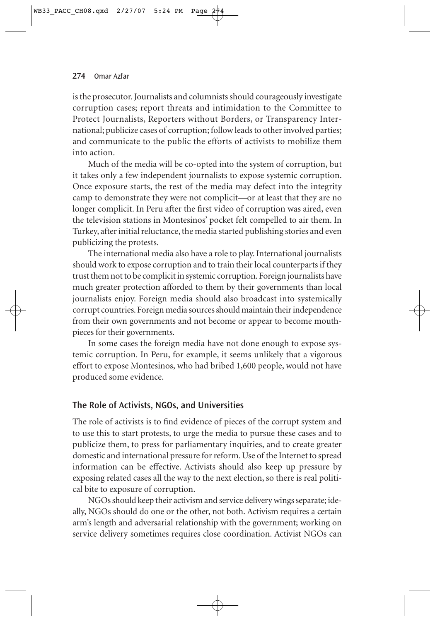is the prosecutor. Journalists and columnists should courageously investigate corruption cases; report threats and intimidation to the Committee to Protect Journalists, Reporters without Borders, or Transparency International; publicize cases of corruption; follow leads to other involved parties; and communicate to the public the efforts of activists to mobilize them into action.

Much of the media will be co-opted into the system of corruption, but it takes only a few independent journalists to expose systemic corruption. Once exposure starts, the rest of the media may defect into the integrity camp to demonstrate they were not complicit—or at least that they are no longer complicit. In Peru after the first video of corruption was aired, even the television stations in Montesinos' pocket felt compelled to air them. In Turkey, after initial reluctance, the media started publishing stories and even publicizing the protests.

The international media also have a role to play. International journalists should work to expose corruption and to train their local counterparts if they trust them not to be complicit in systemic corruption. Foreign journalists have much greater protection afforded to them by their governments than local journalists enjoy. Foreign media should also broadcast into systemically corrupt countries. Foreign media sources should maintain their independence from their own governments and not become or appear to become mouthpieces for their governments.

In some cases the foreign media have not done enough to expose systemic corruption. In Peru, for example, it seems unlikely that a vigorous effort to expose Montesinos, who had bribed 1,600 people, would not have produced some evidence.

#### **The Role of Activists, NGOs, and Universities**

The role of activists is to find evidence of pieces of the corrupt system and to use this to start protests, to urge the media to pursue these cases and to publicize them, to press for parliamentary inquiries, and to create greater domestic and international pressure for reform. Use of the Internet to spread information can be effective. Activists should also keep up pressure by exposing related cases all the way to the next election, so there is real political bite to exposure of corruption.

NGOs should keep their activism and service delivery wings separate; ideally, NGOs should do one or the other, not both. Activism requires a certain arm's length and adversarial relationship with the government; working on service delivery sometimes requires close coordination. Activist NGOs can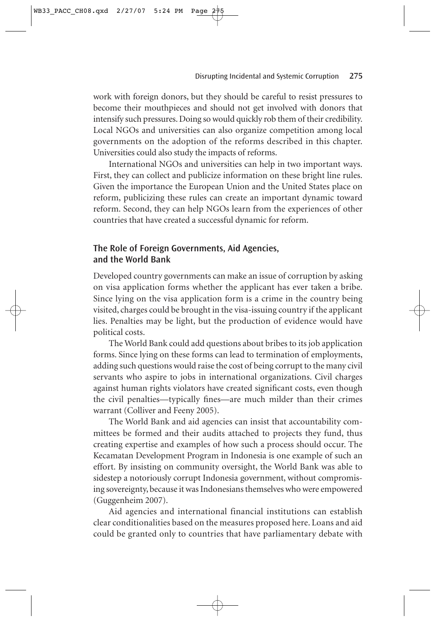work with foreign donors, but they should be careful to resist pressures to become their mouthpieces and should not get involved with donors that intensify such pressures. Doing so would quickly rob them of their credibility. Local NGOs and universities can also organize competition among local governments on the adoption of the reforms described in this chapter. Universities could also study the impacts of reforms.

International NGOs and universities can help in two important ways. First, they can collect and publicize information on these bright line rules. Given the importance the European Union and the United States place on reform, publicizing these rules can create an important dynamic toward reform. Second, they can help NGOs learn from the experiences of other countries that have created a successful dynamic for reform.

# **The Role of Foreign Governments, Aid Agencies, and the World Bank**

Developed country governments can make an issue of corruption by asking on visa application forms whether the applicant has ever taken a bribe. Since lying on the visa application form is a crime in the country being visited, charges could be brought in the visa-issuing country if the applicant lies. Penalties may be light, but the production of evidence would have political costs.

The World Bank could add questions about bribes to its job application forms. Since lying on these forms can lead to termination of employments, adding such questions would raise the cost of being corrupt to the many civil servants who aspire to jobs in international organizations. Civil charges against human rights violators have created significant costs, even though the civil penalties—typically fines—are much milder than their crimes warrant (Colliver and Feeny 2005).

The World Bank and aid agencies can insist that accountability committees be formed and their audits attached to projects they fund, thus creating expertise and examples of how such a process should occur. The Kecamatan Development Program in Indonesia is one example of such an effort. By insisting on community oversight, the World Bank was able to sidestep a notoriously corrupt Indonesia government, without compromising sovereignty, because it was Indonesians themselves who were empowered (Guggenheim 2007).

Aid agencies and international financial institutions can establish clear conditionalities based on the measures proposed here. Loans and aid could be granted only to countries that have parliamentary debate with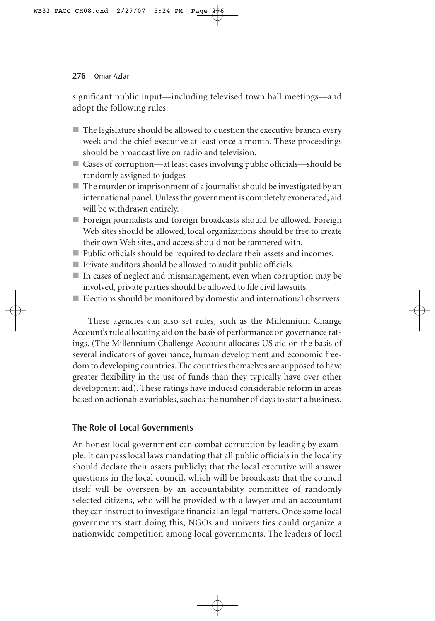significant public input—including televised town hall meetings—and adopt the following rules:

- The legislature should be allowed to question the executive branch every week and the chief executive at least once a month. These proceedings should be broadcast live on radio and television.
- Cases of corruption—at least cases involving public officials—should be randomly assigned to judges
- $\blacksquare$  The murder or imprisonment of a journalist should be investigated by an international panel. Unless the government is completely exonerated, aid will be withdrawn entirely.
- Foreign journalists and foreign broadcasts should be allowed. Foreign Web sites should be allowed, local organizations should be free to create their own Web sites, and access should not be tampered with.
- $\blacksquare$  Public officials should be required to declare their assets and incomes.
- Private auditors should be allowed to audit public officials.
- In cases of neglect and mismanagement, even when corruption may be involved, private parties should be allowed to file civil lawsuits.
- Elections should be monitored by domestic and international observers.

These agencies can also set rules, such as the Millennium Change Account's rule allocating aid on the basis of performance on governance ratings. (The Millennium Challenge Account allocates US aid on the basis of several indicators of governance, human development and economic freedom to developing countries. The countries themselves are supposed to have greater flexibility in the use of funds than they typically have over other development aid). These ratings have induced considerable reform in areas based on actionable variables, such as the number of days to start a business.

# **The Role of Local Governments**

An honest local government can combat corruption by leading by example. It can pass local laws mandating that all public officials in the locality should declare their assets publicly; that the local executive will answer questions in the local council, which will be broadcast; that the council itself will be overseen by an accountability committee of randomly selected citizens, who will be provided with a lawyer and an accountant they can instruct to investigate financial an legal matters. Once some local governments start doing this, NGOs and universities could organize a nationwide competition among local governments. The leaders of local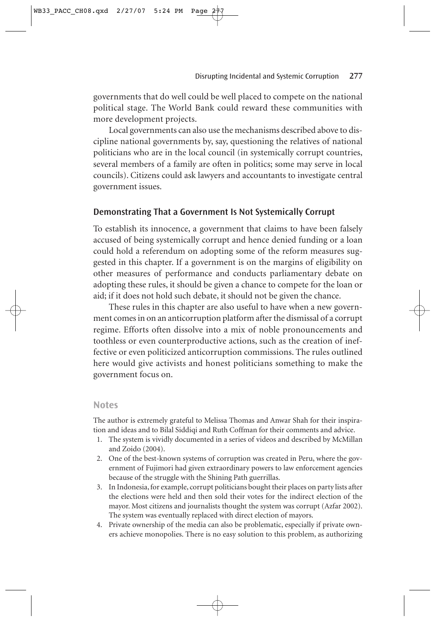governments that do well could be well placed to compete on the national political stage. The World Bank could reward these communities with more development projects.

Local governments can also use the mechanisms described above to discipline national governments by, say, questioning the relatives of national politicians who are in the local council (in systemically corrupt countries, several members of a family are often in politics; some may serve in local councils). Citizens could ask lawyers and accountants to investigate central government issues.

# **Demonstrating That a Government Is Not Systemically Corrupt**

To establish its innocence, a government that claims to have been falsely accused of being systemically corrupt and hence denied funding or a loan could hold a referendum on adopting some of the reform measures suggested in this chapter. If a government is on the margins of eligibility on other measures of performance and conducts parliamentary debate on adopting these rules, it should be given a chance to compete for the loan or aid; if it does not hold such debate, it should not be given the chance.

These rules in this chapter are also useful to have when a new government comes in on an anticorruption platform after the dismissal of a corrupt regime. Efforts often dissolve into a mix of noble pronouncements and toothless or even counterproductive actions, such as the creation of ineffective or even politicized anticorruption commissions. The rules outlined here would give activists and honest politicians something to make the government focus on.

#### **Notes**

The author is extremely grateful to Melissa Thomas and Anwar Shah for their inspiration and ideas and to Bilal Siddiqi and Ruth Coffman for their comments and advice.

- 1. The system is vividly documented in a series of videos and described by McMillan and Zoido (2004).
- 2. One of the best-known systems of corruption was created in Peru, where the government of Fujimori had given extraordinary powers to law enforcement agencies because of the struggle with the Shining Path guerrillas.
- 3. In Indonesia, for example, corrupt politicians bought their places on party lists after the elections were held and then sold their votes for the indirect election of the mayor. Most citizens and journalists thought the system was corrupt (Azfar 2002). The system was eventually replaced with direct election of mayors.
- 4. Private ownership of the media can also be problematic, especially if private owners achieve monopolies. There is no easy solution to this problem, as authorizing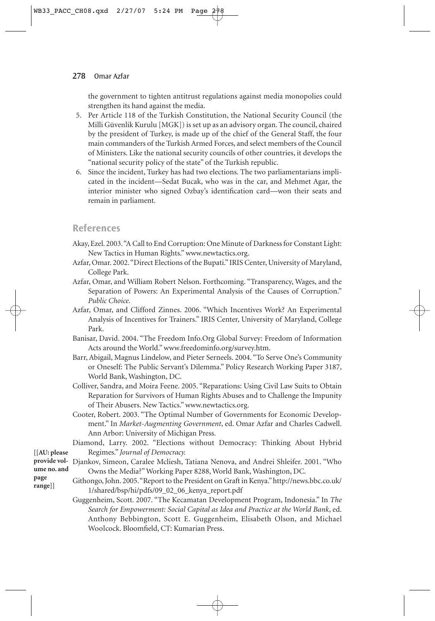the government to tighten antitrust regulations against media monopolies could strengthen its hand against the media.

- 5. Per Article 118 of the Turkish Constitution, the National Security Council (the Milli Güvenlik Kurulu [MGK]) is set up as an advisory organ. The council, chaired by the president of Turkey, is made up of the chief of the General Staff, the four main commanders of the Turkish Armed Forces, and select members of the Council of Ministers. Like the national security councils of other countries, it develops the "national security policy of the state" of the Turkish republic.
- 6. Since the incident, Turkey has had two elections. The two parliamentarians implicated in the incident—Sedat Bucak, who was in the car, and Mehmet Agar, the interior minister who signed Ozbay's identification card—won their seats and remain in parliament.

#### **References**

- Akay, Ezel. 2003."A Call to End Corruption: One Minute of Darkness for Constant Light: New Tactics in Human Rights." www.newtactics.org.
- Azfar, Omar. 2002."Direct Elections of the Bupati." IRIS Center, University of Maryland, College Park.
- Azfar, Omar, and William Robert Nelson. Forthcoming. "Transparency, Wages, and the Separation of Powers: An Experimental Analysis of the Causes of Corruption." *Public Choice.*
- Azfar, Omar, and Clifford Zinnes. 2006. "Which Incentives Work? An Experimental Analysis of Incentives for Trainers." IRIS Center, University of Maryland, College Park.
- Banisar, David. 2004. "The Freedom Info.Org Global Survey: Freedom of Information Acts around the World." www.freedominfo.org/survey.htm.
- Barr, Abigail, Magnus Lindelow, and Pieter Serneels. 2004. "To Serve One's Community or Oneself: The Public Servant's Dilemma." Policy Research Working Paper 3187, World Bank, Washington, DC.
- Colliver, Sandra, and Moira Feene. 2005. "Reparations: Using Civil Law Suits to Obtain Reparation for Survivors of Human Rights Abuses and to Challenge the Impunity of Their Abusers. New Tactics." www.newtactics.org.
- Cooter, Robert. 2003. "The Optimal Number of Governments for Economic Development." In *Market-Augmenting Government*, ed. Omar Azfar and Charles Cadwell. Ann Arbor: University of Michigan Press.
- Diamond, Larry. 2002. "Elections without Democracy: Thinking About Hybrid Regimes." *Journal of Democracy.*

**[[AU: please ume no. and page**

**range]]**

- Djankov, Simeon, Caralee Mcliesh, Tatiana Nenova, and Andrei Shleifer. 2001. "Who **provide vol-**Owns the Media?" Working Paper 8288, World Bank, Washington, DC.
	- Githongo, John. 2005."Report to the President on Graft in Kenya."http://news.bbc.co.uk/ 1/shared/bsp/hi/pdfs/09\_02\_06\_kenya\_report.pdf
		- Guggenheim, Scott. 2007. "The Kecamatan Development Program, Indonesia." In *The Search for Empowerment: Social Capital as Idea and Practice at the World Bank*, ed. Anthony Bebbington, Scott E. Guggenheim, Elisabeth Olson, and Michael Woolcock. Bloomfield, CT: Kumarian Press.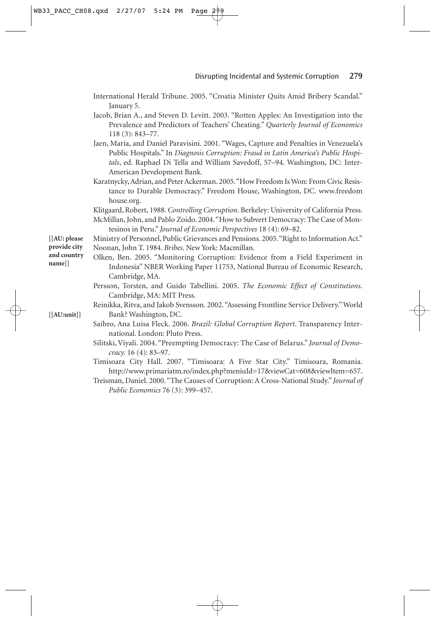International Herald Tribune. 2005. "Croatia Minister Quits Amid Bribery Scandal." January 5. Jacob, Brian A., and Steven D. Levitt. 2003. "Rotten Apples: An Investigation into the Prevalence and Predictors of Teachers' Cheating." *Quarterly Journal of Economics*

118 (3): 843–77.

Jaen, Maria, and Daniel Paravisini. 2001. "Wages, Capture and Penalties in Venezuela's Public Hospitals." In *Diagnosis Corruption: Fraud in Latin America's Public Hospitals*, ed. Raphael Di Tella and William Savedoff, 57–94. Washington, DC: Inter-American Development Bank.

Karatnycky, Adrian, and Peter Ackerman. 2005."How Freedom Is Won: From Civic Resistance to Durable Democracy." Freedom House, Washington, DC. www.freedom house.org.

Klitgaard, Robert, 1988. *Controlling Corruption.* Berkeley: University of California Press. McMillan, John, and Pablo Zoido. 2004."How to Subvert Democracy: The Case of Montesinos in Peru." *Journal of Economic Perspectives* 18 (4): 69–82.

Ministry of Personnel, Public Grievances and Pensions. 2005."Right to Information Act." Noonan, John T. 1984. *Bribes*. New York: Macmillan.

- Olken, Ben. 2005. "Monitoring Corruption: Evidence from a Field Experiment in Indonesia" NBER Working Paper 11753, National Bureau of Economic Research, Cambridge, MA.
	- Persson, Torsten, and Guido Tabellini. 2005. *The Economic Effect of Constitutions*. Cambridge, MA: MIT Press.

Reinikka, Ritva, and Jakob Svensson. 2002. "Assessing Frontline Service Delivery." World Bank? Washington, DC.

- Saibro, Ana Luisa Fleck. 2006. *Brazil: Global Corruption Report*. Transparency International. London: Pluto Press.
- Silitski, Viyali. 2004. "Preempting Democracy: The Case of Belarus." *Journal of Democracy.* 16 (4): 83–97.

Timisoara City Hall. 2007. "Timisoara: A Five Star City." Timisoara, Romania. http://www.primariatm.ro/index.php?meniuId=17&viewCat=608&viewItem=657.

Treisman, Daniel. 2000. "The Causes of Corruption: A Cross-National Study." *Journal of Public Economics* 76 (3): 399–457.

**[[AU: please provide city and country name]]**

**[[AU:unit]]**